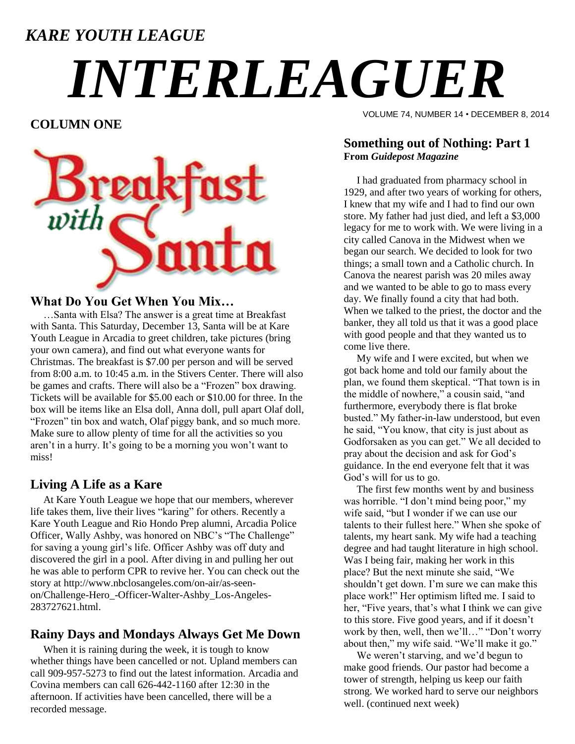### *KARE YOUTH LEAGUE*

# *INTERLEAGUER*

**COLUMN ONE**



#### **What Do You Get When You Mix…**

 …Santa with Elsa? The answer is a great time at Breakfast with Santa. This Saturday, December 13, Santa will be at Kare Youth League in Arcadia to greet children, take pictures (bring your own camera), and find out what everyone wants for Christmas. The breakfast is \$7.00 per person and will be served from 8:00 a.m. to 10:45 a.m. in the Stivers Center. There will also be games and crafts. There will also be a "Frozen" box drawing. Tickets will be available for \$5.00 each or \$10.00 for three. In the box will be items like an Elsa doll, Anna doll, pull apart Olaf doll, "Frozen" tin box and watch, Olaf piggy bank, and so much more. Make sure to allow plenty of time for all the activities so you aren't in a hurry. It's going to be a morning you won't want to miss!

#### **Living A Life as a Kare**

 At Kare Youth League we hope that our members, wherever life takes them, live their lives "karing" for others. Recently a Kare Youth League and Rio Hondo Prep alumni, Arcadia Police Officer, Wally Ashby, was honored on NBC's "The Challenge" for saving a young girl's life. Officer Ashby was off duty and discovered the girl in a pool. After diving in and pulling her out he was able to perform CPR to revive her. You can check out the story at http://www.nbclosangeles.com/on-air/as-seenon/Challenge-Hero\_-Officer-Walter-Ashby\_Los-Angeles-283727621.html.

#### **Rainy Days and Mondays Always Get Me Down**

 When it is raining during the week, it is tough to know whether things have been cancelled or not. Upland members can call 909-957-5273 to find out the latest information. Arcadia and Covina members can call 626-442-1160 after 12:30 in the afternoon. If activities have been cancelled, there will be a recorded message.

VOLUME 74, NUMBER 14 • DECEMBER 8, 2014

#### **Something out of Nothing: Part 1 From** *Guidepost Magazine*

 I had graduated from pharmacy school in 1929, and after two years of working for others, I knew that my wife and I had to find our own store. My father had just died, and left a \$3,000 legacy for me to work with. We were living in a city called Canova in the Midwest when we began our search. We decided to look for two things; a small town and a Catholic church. In Canova the nearest parish was 20 miles away and we wanted to be able to go to mass every day. We finally found a city that had both. When we talked to the priest, the doctor and the banker, they all told us that it was a good place with good people and that they wanted us to come live there.

 My wife and I were excited, but when we got back home and told our family about the plan, we found them skeptical. "That town is in the middle of nowhere," a cousin said, "and furthermore, everybody there is flat broke busted." My father-in-law understood, but even he said, "You know, that city is just about as Godforsaken as you can get." We all decided to pray about the decision and ask for God's guidance. In the end everyone felt that it was God's will for us to go.

 The first few months went by and business was horrible. "I don't mind being poor," my wife said, "but I wonder if we can use our talents to their fullest here." When she spoke of talents, my heart sank. My wife had a teaching degree and had taught literature in high school. Was I being fair, making her work in this place? But the next minute she said, "We shouldn't get down. I'm sure we can make this place work!" Her optimism lifted me. I said to her, "Five years, that's what I think we can give to this store. Five good years, and if it doesn't work by then, well, then we'll…" "Don't worry about then," my wife said. "We'll make it go."

 We weren't starving, and we'd begun to make good friends. Our pastor had become a tower of strength, helping us keep our faith strong. We worked hard to serve our neighbors well. (continued next week)